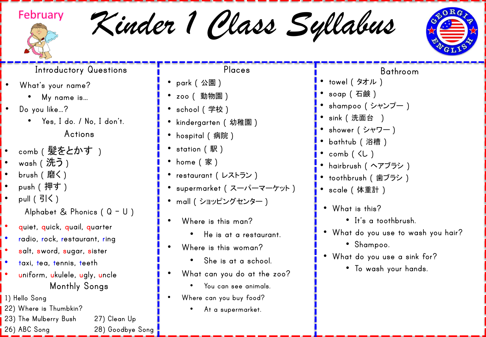

*Kinder 1 Class Syllabus*



## **Introductory Questions**

- **What's your name?**
	- **My name is…**
- **Do you like…?**
	- **Yes, I do. / No, I don't.**

**Actions**

- **comb (** 髪をとかす **)**
- **wash (** 洗う **)**
- **brush (** 磨く **)**
- **push (** 押す **)**
- **Alphabet & Phonics ( Q – U )** • **pull (** 引く **)**
- **quiet, quick, quail, quarter**
- **radio, rock, restaurant, ring**
- **salt, sword, sugar, sister**
- **taxi, tea, tennis, teeth**
- **uniform, ukulele, ugly, uncle Monthly Songs**
- **1) Hello Song**
- **22) Where is Thumbkin?**
- **23) The Mulberry Bush 27) Clean Up**
- 
- **26) ABC Song 28) Goodbye Song**

### **Places**

- **park (** 公園 **)**
- **zoo (** 動物園 **)**
- **school (** 学校 **)**
- **kindergarten (** 幼稚園 **)**
- **hospital (** 病院 **)**
- **station (** 駅 **)**
- **home (** 家 **)**
- **restaurant (** レストラン **)**
- **supermarket (** スーパーマーケット **)**
- **mall (** ショッピングセンター **)**
- **Where is this man?**
	- **He is at a restaurant.**
- **Where is this woman?**
	- **She is at a school.**
- **What can you do at the zoo?**
	- **You can see animals.**
- **Where can you buy food?**
	- **At a supermarket.**

## **Bathroom**

- **towel (** タオル **)**
- **soap (** 石鹸 **)**
- **shampoo (** シャンプー **)**
- **sink (** 洗面台 **)**
- **shower (** シャワー **)**
- **bathtub (** 浴槽 **)**
- **comb (** くし **)**
- **hairbrush (** ヘアブラシ **)**
- **toothbrush (** 歯ブラシ **)**
- **scale (** 体重計 **)**
- **What is this?**
	- **It's a toothbrush.**
- **What do you use to wash you hair?**
	- **Shampoo.**
- **What do you use a sink for?**
	- **To wash your hands.**